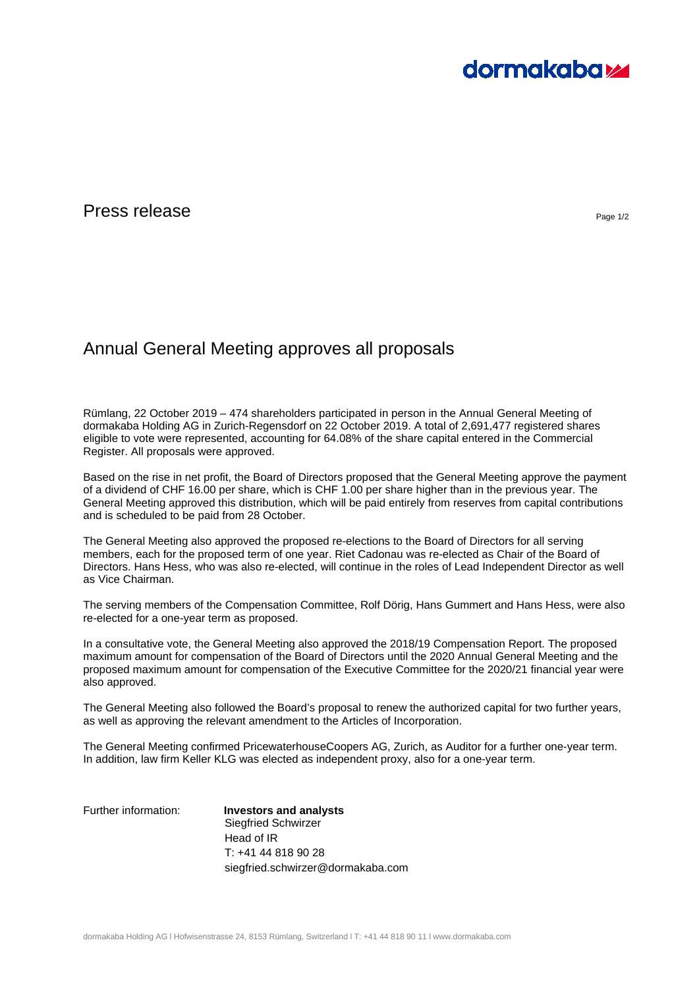# **dormakabazz**

### Press release  $P_{\text{Page 1/2}}$

## Annual General Meeting approves all proposals

Rümlang, 22 October 2019 – 474 shareholders participated in person in the Annual General Meeting of dormakaba Holding AG in Zurich-Regensdorf on 22 October 2019. A total of 2,691,477 registered shares eligible to vote were represented, accounting for 64.08% of the share capital entered in the Commercial Register. All proposals were approved.

Based on the rise in net profit, the Board of Directors proposed that the General Meeting approve the payment of a dividend of CHF 16.00 per share, which is CHF 1.00 per share higher than in the previous year. The General Meeting approved this distribution, which will be paid entirely from reserves from capital contributions and is scheduled to be paid from 28 October.

The General Meeting also approved the proposed re-elections to the Board of Directors for all serving members, each for the proposed term of one year. Riet Cadonau was re-elected as Chair of the Board of Directors. Hans Hess, who was also re-elected, will continue in the roles of Lead Independent Director as well as Vice Chairman.

The serving members of the Compensation Committee, Rolf Dörig, Hans Gummert and Hans Hess, were also re-elected for a one-year term as proposed.

In a consultative vote, the General Meeting also approved the 2018/19 Compensation Report. The proposed maximum amount for compensation of the Board of Directors until the 2020 Annual General Meeting and the proposed maximum amount for compensation of the Executive Committee for the 2020/21 financial year were also approved.

The General Meeting also followed the Board's proposal to renew the authorized capital for two further years, as well as approving the relevant amendment to the Articles of Incorporation.

The General Meeting confirmed PricewaterhouseCoopers AG, Zurich, as Auditor for a further one-year term. In addition, law firm Keller KLG was elected as independent proxy, also for a one-year term.

Further information: **Investors and analysts**  Siegfried Schwirzer Head of IR T: +41 44 818 90 28 siegfried.schwirzer@dormakaba.com